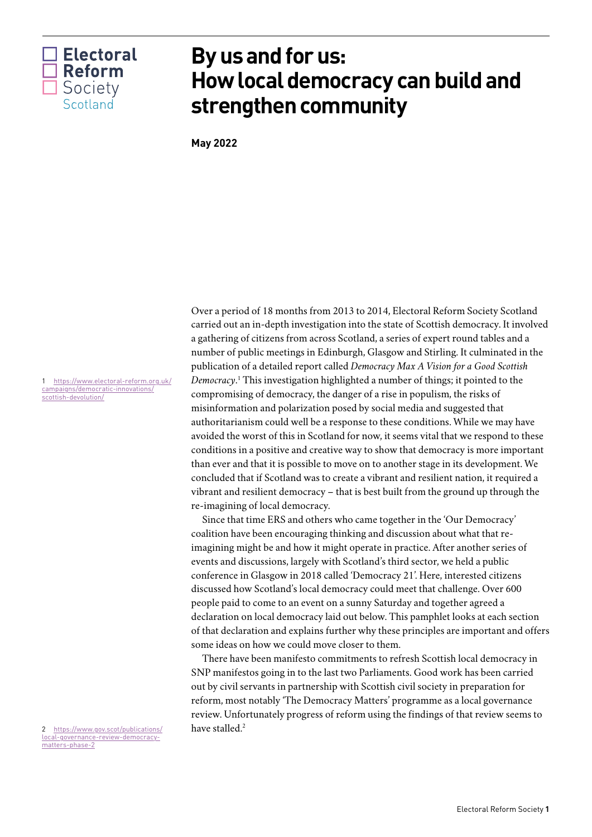

# **By us and for us: How local democracy can build and strengthen community**

**May 2022**

Over a period of 18 months from 2013 to 2014, Electoral Reform Society Scotland carried out an in-depth investigation into the state of Scottish democracy. It involved a gathering of citizens from across Scotland, a series of expert round tables and a number of public meetings in Edinburgh, Glasgow and Stirling. It culminated in the publication of a detailed report called *Democracy Max A Vision for a Good Scottish Democracy*. [1](#page-0-0) This investigation highlighted a number of things; it pointed to the compromising of democracy, the danger of a rise in populism, the risks of misinformation and polarization posed by social media and suggested that authoritarianism could well be a response to these conditions. While we may have avoided the worst of this in Scotland for now, it seems vital that we respond to these conditions in a positive and creative way to show that democracy is more important than ever and that it is possible to move on to another stage in its development. We concluded that if Scotland was to create a vibrant and resilient nation, it required a vibrant and resilient democracy – that is best built from the ground up through the re-imagining of local democracy.

Since that time ERS and others who came together in the 'Our Democracy' coalition have been encouraging thinking and discussion about what that reimagining might be and how it might operate in practice. After another series of events and discussions, largely with Scotland's third sector, we held a public conference in Glasgow in 2018 called 'Democracy 21'. Here, interested citizens discussed how Scotland's local democracy could meet that challenge. Over 600 people paid to come to an event on a sunny Saturday and together agreed a declaration on local democracy laid out below. This pamphlet looks at each section of that declaration and explains further why these principles are important and offers some ideas on how we could move closer to them.

There have been manifesto commitments to refresh Scottish local democracy in SNP manifestos going in to the last two Parliaments. Good work has been carried out by civil servants in partnership with Scottish civil society in preparation for reform, most notably 'The Democracy Matters' programme as a local governance review. Unfortunately progress of reform using the findings of that review seems to have stalled.<sup>[2](#page-0-1)</sup>

<span id="page-0-0"></span>1 [https://www.electoral-reform.org.uk/](https://www.electoral-reform.org.uk/campaigns/democratic-innovations/scottish-devolution/) [campaigns/democratic-innovations/](https://www.electoral-reform.org.uk/campaigns/democratic-innovations/scottish-devolution/) [scottish-devolution/](https://www.electoral-reform.org.uk/campaigns/democratic-innovations/scottish-devolution/)

<span id="page-0-1"></span>2 [https://www.gov.scot/publications/](https://www.gov.scot/publications/local-governance-review-democracy-matters-phase-2) [local-governance-review-democracy](https://www.gov.scot/publications/local-governance-review-democracy-matters-phase-2)[matters-phase-2](https://www.gov.scot/publications/local-governance-review-democracy-matters-phase-2)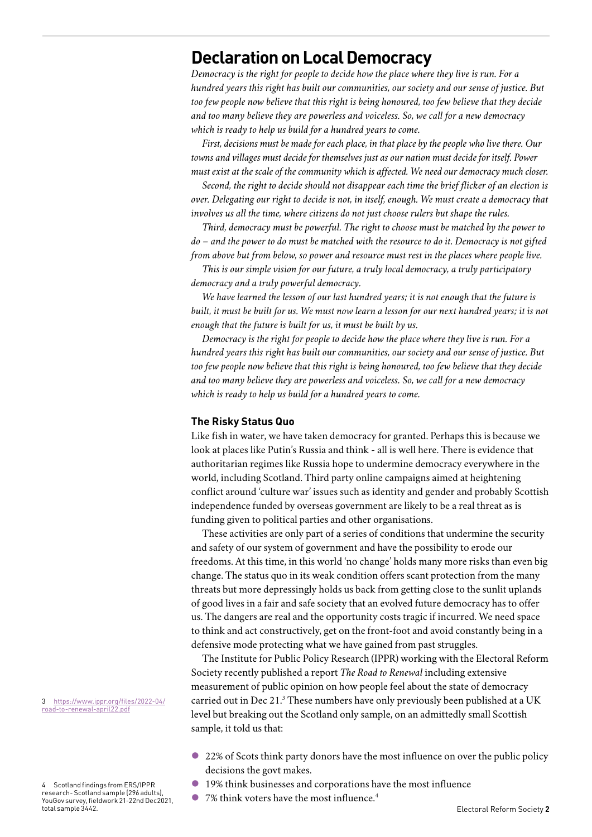# **Declaration on Local Democracy**

*Democracy is the right for people to decide how the place where they live is run. For a hundred years this right has built our communities, our society and our sense of justice. But too few people now believe that this right is being honoured, too few believe that they decide and too many believe they are powerless and voiceless. So, we call for a new democracy which is ready to help us build for a hundred years to come.* 

*First, decisions must be made for each place, in that place by the people who live there. Our towns and villages must decide for themselves just as our nation must decide for itself. Power must exist at the scale of the community which is affected. We need our democracy much closer.* 

*Second, the right to decide should not disappear each time the brief flicker of an election is over. Delegating our right to decide is not, in itself, enough. We must create a democracy that involves us all the time, where citizens do not just choose rulers but shape the rules.* 

*Third, democracy must be powerful. The right to choose must be matched by the power to do – and the power to do must be matched with the resource to do it. Democracy is not gifted from above but from below, so power and resource must rest in the places where people live.* 

*This is our simple vision for our future, a truly local democracy, a truly participatory democracy and a truly powerful democracy.* 

*We have learned the lesson of our last hundred years; it is not enough that the future is built, it must be built for us. We must now learn a lesson for our next hundred years; it is not enough that the future is built for us, it must be built by us.* 

*Democracy is the right for people to decide how the place where they live is run. For a hundred years this right has built our communities, our society and our sense of justice. But too few people now believe that this right is being honoured, too few believe that they decide and too many believe they are powerless and voiceless. So, we call for a new democracy which is ready to help us build for a hundred years to come.* 

#### **The Risky Status Quo**

Like fish in water, we have taken democracy for granted. Perhaps this is because we look at places like Putin's Russia and think - all is well here. There is evidence that authoritarian regimes like Russia hope to undermine democracy everywhere in the world, including Scotland. Third party online campaigns aimed at heightening conflict around 'culture war' issues such as identity and gender and probably Scottish independence funded by overseas government are likely to be a real threat as is funding given to political parties and other organisations.

These activities are only part of a series of conditions that undermine the security and safety of our system of government and have the possibility to erode our freedoms. At this time, in this world 'no change' holds many more risks than even big change. The status quo in its weak condition offers scant protection from the many threats but more depressingly holds us back from getting close to the sunlit uplands of good lives in a fair and safe society that an evolved future democracy has to offer us. The dangers are real and the opportunity costs tragic if incurred. We need space to think and act constructively, get on the front-foot and avoid constantly being in a defensive mode protecting what we have gained from past struggles.

The Institute for Public Policy Research (IPPR) working with the Electoral Reform Society recently published a report *The Road to Renewal* including extensive measurement of public opinion on how people feel about the state of democracy carried out in Dec 21.<sup>[3](#page-1-0)</sup> These numbers have only previously been published at a UK level but breaking out the Scotland only sample, on an admittedly small Scottish sample, it told us that:

- l 22% of Scots think party donors have the most influence on over the public policy decisions the govt makes.
- l 19% think businesses and corporations have the most influence
- l 7% think voters have the most influence[.4](#page-1-1)

<span id="page-1-0"></span>3 [https://www.ippr.org/files/2022-04/](https://www.ippr.org/files/2022-04/road-to-renewal-april22.pdf) [road-to-renewal-april22.pdf](https://www.ippr.org/files/2022-04/road-to-renewal-april22.pdf)

<span id="page-1-1"></span><sup>4</sup> Scotland findings from ERS/IPPR research- Scotland sample (296 adults), YouGov survey, fieldwork 21-22nd Dec2021, total sample 3442.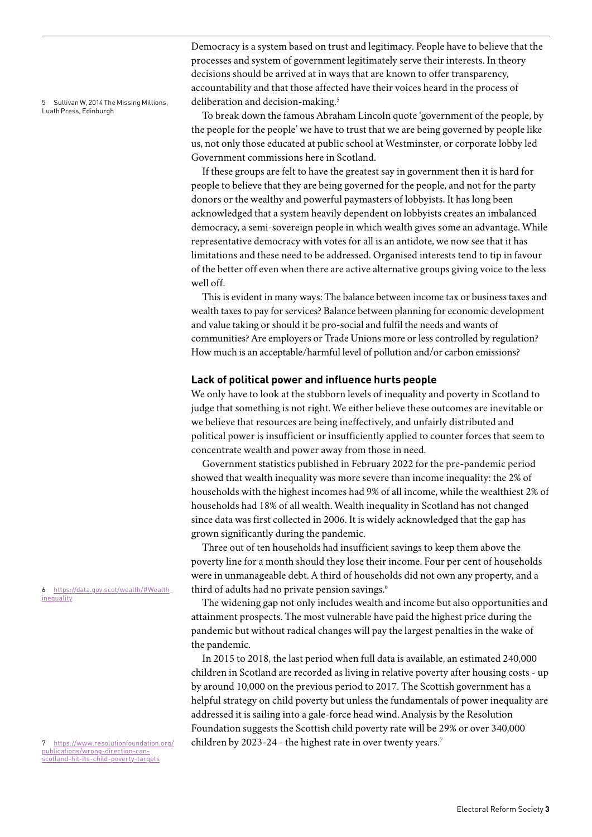<span id="page-2-0"></span>5 Sullivan W, 2014 The Missing Millions, Luath Press, Edinburgh

Democracy is a system based on trust and legitimacy. People have to believe that the processes and system of government legitimately serve their interests. In theory decisions should be arrived at in ways that are known to offer transparency, accountability and that those affected have their voices heard in the process of deliberation and decision-making.<sup>5</sup>

To break down the famous Abraham Lincoln quote 'government of the people, by the people for the people' we have to trust that we are being governed by people like us, not only those educated at public school at Westminster, or corporate lobby led Government commissions here in Scotland.

If these groups are felt to have the greatest say in government then it is hard for people to believe that they are being governed for the people, and not for the party donors or the wealthy and powerful paymasters of lobbyists. It has long been acknowledged that a system heavily dependent on lobbyists creates an imbalanced democracy, a semi-sovereign people in which wealth gives some an advantage. While representative democracy with votes for all is an antidote, we now see that it has limitations and these need to be addressed. Organised interests tend to tip in favour of the better off even when there are active alternative groups giving voice to the less well off.

This is evident in many ways: The balance between income tax or business taxes and wealth taxes to pay for services? Balance between planning for economic development and value taking or should it be pro-social and fulfil the needs and wants of communities? Are employers or Trade Unions more or less controlled by regulation? How much is an acceptable/harmful level of pollution and/or carbon emissions?

#### **Lack of political power and influence hurts people**

We only have to look at the stubborn levels of inequality and poverty in Scotland to judge that something is not right. We either believe these outcomes are inevitable or we believe that resources are being ineffectively, and unfairly distributed and political power is insufficient or insufficiently applied to counter forces that seem to concentrate wealth and power away from those in need.

Government statistics published in February 2022 for the pre-pandemic period showed that wealth inequality was more severe than income inequality: the 2% of households with the highest incomes had 9% of all income, while the wealthiest 2% of households had 18% of all wealth. Wealth inequality in Scotland has not changed since data was first collected in 2006. It is widely acknowledged that the gap has grown significantly during the pandemic.

Three out of ten households had insufficient savings to keep them above the poverty line for a month should they lose their income. Four per cent of households were in unmanageable debt. A third of households did not own any property, and a third of adults had no private pension savings.<sup>6</sup>

The widening gap not only includes wealth and income but also opportunities and attainment prospects. The most vulnerable have paid the highest price during the pandemic but without radical changes will pay the largest penalties in the wake of the pandemic.

In 2015 to 2018, the last period when full data is available, an estimated 240,000 children in Scotland are recorded as living in relative poverty after housing costs - up by around 10,000 on the previous period to 2017. The Scottish government has a helpful strategy on child poverty but unless the fundamentals of power inequality are addressed it is sailing into a gale-force head wind. Analysis by the Resolution Foundation suggests the Scottish child poverty rate will be 29% or over 340,000 children by 2023-24 - the highest rate in over twenty years.<sup>7</sup>

<span id="page-2-1"></span>6 [https://data.gov.scot/wealth/#Wealth\\_](https://data.gov.scot/wealth/#Wealth_inequality) [inequality](https://data.gov.scot/wealth/#Wealth_inequality)

<span id="page-2-2"></span>7 [https://www.resolutionfoundation.org/](https://www.resolutionfoundation.org/publications/wrong-direction-can-scotland-hit-its-child-poverty-targets) [publications/wrong-direction-can](https://www.resolutionfoundation.org/publications/wrong-direction-can-scotland-hit-its-child-poverty-targets)[scotland-hit-its-child-poverty-targets](https://www.resolutionfoundation.org/publications/wrong-direction-can-scotland-hit-its-child-poverty-targets)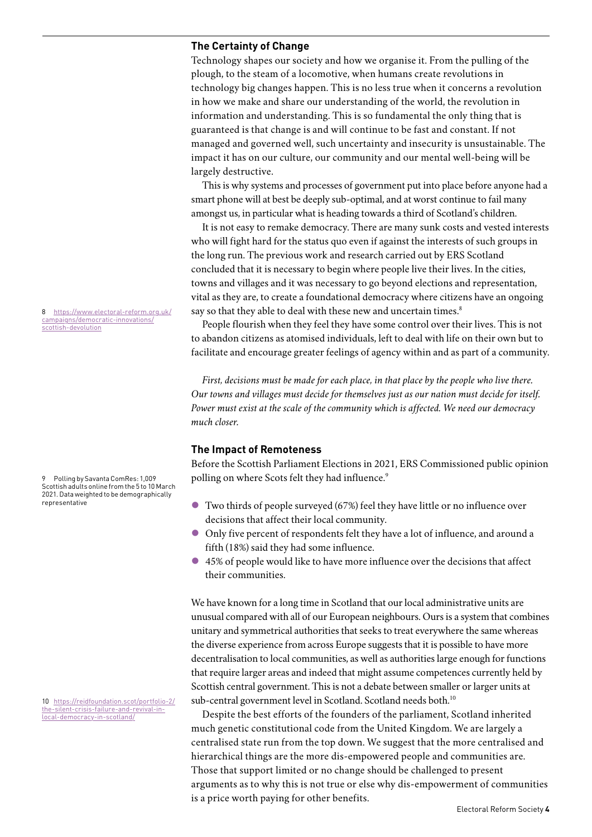#### **The Certainty of Change**

Technology shapes our society and how we organise it. From the pulling of the plough, to the steam of a locomotive, when humans create revolutions in technology big changes happen. This is no less true when it concerns a revolution in how we make and share our understanding of the world, the revolution in information and understanding. This is so fundamental the only thing that is guaranteed is that change is and will continue to be fast and constant. If not managed and governed well, such uncertainty and insecurity is unsustainable. The impact it has on our culture, our community and our mental well-being will be largely destructive.

This is why systems and processes of government put into place before anyone had a smart phone will at best be deeply sub-optimal, and at worst continue to fail many amongst us, in particular what is heading towards a third of Scotland's children.

It is not easy to remake democracy. There are many sunk costs and vested interests who will fight hard for the status quo even if against the interests of such groups in the long run. The previous work and research carried out by ERS Scotland concluded that it is necessary to begin where people live their lives. In the cities, towns and villages and it was necessary to go beyond elections and representation, vital as they are, to create a foundational democracy where citizens have an ongoing say so that they able to deal with these new and uncertain times.<sup>[8](#page-3-0)</sup>

People flourish when they feel they have some control over their lives. This is not to abandon citizens as atomised individuals, left to deal with life on their own but to facilitate and encourage greater feelings of agency within and as part of a community.

*First, decisions must be made for each place, in that place by the people who live there. Our towns and villages must decide for themselves just as our nation must decide for itself. Power must exist at the scale of the community which is affected. We need our democracy much closer.* 

#### **The Impact of Remoteness**

Before the Scottish Parliament Elections in 2021, ERS Commissioned public opinion polling on where Scots felt they had influence.<sup>[9](#page-3-1)</sup>

- $\bullet$  Two thirds of people surveyed (67%) feel they have little or no influence over decisions that affect their local community.
- l Only five percent of respondents felt they have a lot of influence, and around a fifth (18%) said they had some influence.
- l 45% of people would like to have more influence over the decisions that affect their communities.

We have known for a long time in Scotland that our local administrative units are unusual compared with all of our European neighbours. Ours is a system that combines unitary and symmetrical authorities that seeks to treat everywhere the same whereas the diverse experience from across Europe suggests that it is possible to have more decentralisation to local communities, as well as authorities large enough for functions that require larger areas and indeed that might assume competences currently held by Scottish central government. This is not a debate between smaller or larger units at sub-central government level in Scotland. Scotland needs both.<sup>10</sup>

Despite the best efforts of the founders of the parliament, Scotland inherited much genetic constitutional code from the United Kingdom. We are largely a centralised state run from the top down. We suggest that the more centralised and hierarchical things are the more dis-empowered people and communities are. Those that support limited or no change should be challenged to present arguments as to why this is not true or else why dis-empowerment of communities is a price worth paying for other benefits.

<span id="page-3-0"></span>8 [https://www.electoral-reform.org.uk/](https://www.electoral-reform.org.uk/campaigns/democratic-innovations/scottish-devolution) [campaigns/democratic-innovations/](https://www.electoral-reform.org.uk/campaigns/democratic-innovations/scottish-devolution) [scottish-devolution](https://www.electoral-reform.org.uk/campaigns/democratic-innovations/scottish-devolution)

<span id="page-3-1"></span>9 Polling by Savanta ComRes: 1,009 Scottish adults online from the 5 to 10 March 2021. Data weighted to be demographically representative

<span id="page-3-2"></span>10 [https://reidfoundation.scot/portfolio-2/](https://reidfoundation.scot/portfolio-2/the-silent-crisis-failure-and-revival-in-local-democracy-in-scotland/) [the-silent-crisis-failure-and-revival-in](https://reidfoundation.scot/portfolio-2/the-silent-crisis-failure-and-revival-in-local-democracy-in-scotland/)[local-democracy-in-scotland/](https://reidfoundation.scot/portfolio-2/the-silent-crisis-failure-and-revival-in-local-democracy-in-scotland/)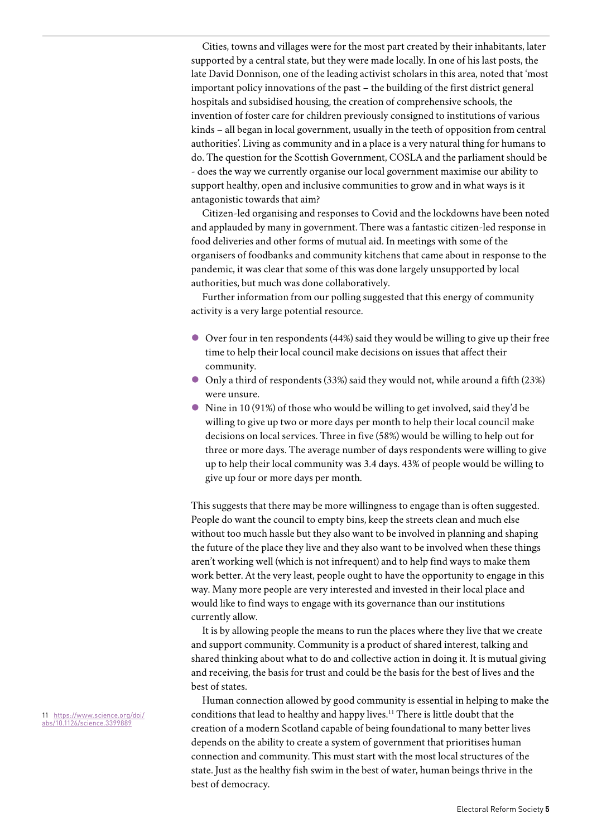Cities, towns and villages were for the most part created by their inhabitants, later supported by a central state, but they were made locally. In one of his last posts, the late David Donnison, one of the leading activist scholars in this area, noted that 'most important policy innovations of the past – the building of the first district general hospitals and subsidised housing, the creation of comprehensive schools, the invention of foster care for children previously consigned to institutions of various kinds – all began in local government, usually in the teeth of opposition from central authorities'. Living as community and in a place is a very natural thing for humans to do. The question for the Scottish Government, COSLA and the parliament should be - does the way we currently organise our local government maximise our ability to support healthy, open and inclusive communities to grow and in what ways is it antagonistic towards that aim?

Citizen-led organising and responses to Covid and the lockdowns have been noted and applauded by many in government. There was a fantastic citizen-led response in food deliveries and other forms of mutual aid. In meetings with some of the organisers of foodbanks and community kitchens that came about in response to the pandemic, it was clear that some of this was done largely unsupported by local authorities, but much was done collaboratively.

Further information from our polling suggested that this energy of community activity is a very large potential resource.

- l Over four in ten respondents (44%) said they would be willing to give up their free time to help their local council make decisions on issues that affect their community.
- l Only a third of respondents (33%) said they would not, while around a fifth (23%) were unsure.
- $\bullet$  Nine in 10 (91%) of those who would be willing to get involved, said they'd be willing to give up two or more days per month to help their local council make decisions on local services. Three in five (58%) would be willing to help out for three or more days. The average number of days respondents were willing to give up to help their local community was 3.4 days. 43% of people would be willing to give up four or more days per month.

This suggests that there may be more willingness to engage than is often suggested. People do want the council to empty bins, keep the streets clean and much else without too much hassle but they also want to be involved in planning and shaping the future of the place they live and they also want to be involved when these things aren't working well (which is not infrequent) and to help find ways to make them work better. At the very least, people ought to have the opportunity to engage in this way. Many more people are very interested and invested in their local place and would like to find ways to engage with its governance than our institutions currently allow.

It is by allowing people the means to run the places where they live that we create and support community. Community is a product of shared interest, talking and shared thinking about what to do and collective action in doing it. It is mutual giving and receiving, the basis for trust and could be the basis for the best of lives and the best of states.

Human connection allowed by good community is essential in helping to make the conditions that lead to healthy and happy lives.<sup>11</sup> There is little doubt that the creation of a modern Scotland capable of being foundational to many better lives depends on the ability to create a system of government that prioritises human connection and community. This must start with the most local structures of the state. Just as the healthy fish swim in the best of water, human beings thrive in the best of democracy.

<span id="page-4-0"></span>11 [https://www.science.org/doi/](https://www.science.org/doi/abs/10.1126/science.3399889) [abs/10.1126/science.3399889](https://www.science.org/doi/abs/10.1126/science.3399889)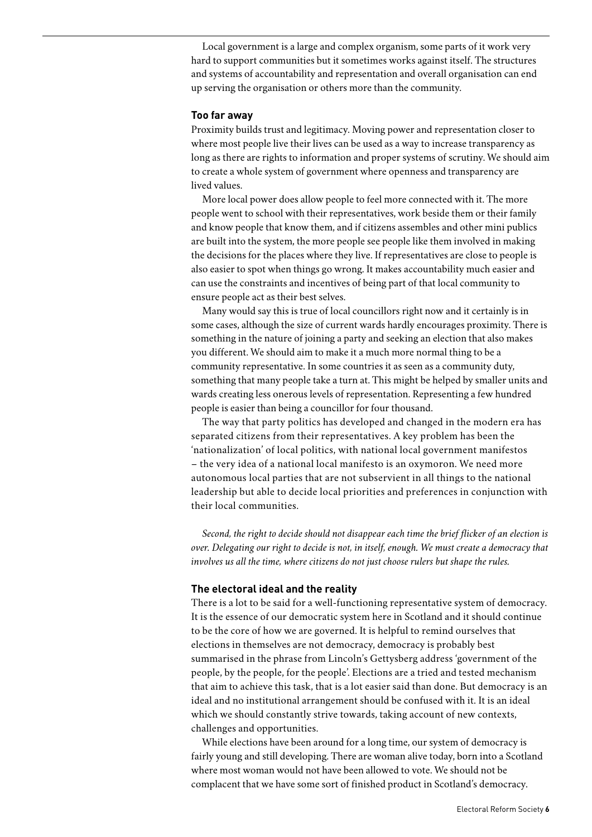Local government is a large and complex organism, some parts of it work very hard to support communities but it sometimes works against itself. The structures and systems of accountability and representation and overall organisation can end up serving the organisation or others more than the community.

#### **Too far away**

Proximity builds trust and legitimacy. Moving power and representation closer to where most people live their lives can be used as a way to increase transparency as long as there are rights to information and proper systems of scrutiny. We should aim to create a whole system of government where openness and transparency are lived values.

More local power does allow people to feel more connected with it. The more people went to school with their representatives, work beside them or their family and know people that know them, and if citizens assembles and other mini publics are built into the system, the more people see people like them involved in making the decisions for the places where they live. If representatives are close to people is also easier to spot when things go wrong. It makes accountability much easier and can use the constraints and incentives of being part of that local community to ensure people act as their best selves.

Many would say this is true of local councillors right now and it certainly is in some cases, although the size of current wards hardly encourages proximity. There is something in the nature of joining a party and seeking an election that also makes you different. We should aim to make it a much more normal thing to be a community representative. In some countries it as seen as a community duty, something that many people take a turn at. This might be helped by smaller units and wards creating less onerous levels of representation. Representing a few hundred people is easier than being a councillor for four thousand.

The way that party politics has developed and changed in the modern era has separated citizens from their representatives. A key problem has been the 'nationalization' of local politics, with national local government manifestos – the very idea of a national local manifesto is an oxymoron. We need more autonomous local parties that are not subservient in all things to the national leadership but able to decide local priorities and preferences in conjunction with their local communities.

*Second, the right to decide should not disappear each time the brief flicker of an election is over. Delegating our right to decide is not, in itself, enough. We must create a democracy that involves us all the time, where citizens do not just choose rulers but shape the rules.* 

#### **The electoral ideal and the reality**

There is a lot to be said for a well-functioning representative system of democracy. It is the essence of our democratic system here in Scotland and it should continue to be the core of how we are governed. It is helpful to remind ourselves that elections in themselves are not democracy, democracy is probably best summarised in the phrase from Lincoln's Gettysberg address 'government of the people, by the people, for the people'. Elections are a tried and tested mechanism that aim to achieve this task, that is a lot easier said than done. But democracy is an ideal and no institutional arrangement should be confused with it. It is an ideal which we should constantly strive towards, taking account of new contexts, challenges and opportunities.

While elections have been around for a long time, our system of democracy is fairly young and still developing. There are woman alive today, born into a Scotland where most woman would not have been allowed to vote. We should not be complacent that we have some sort of finished product in Scotland's democracy.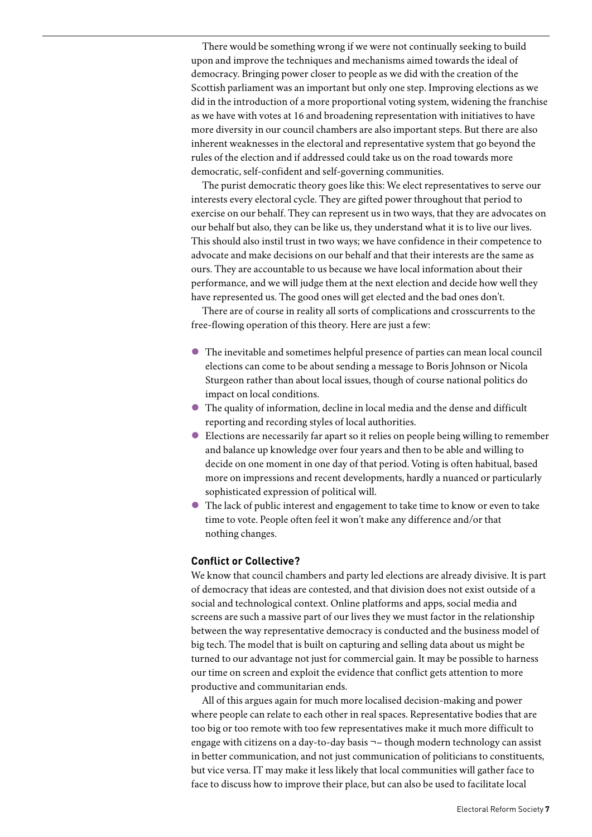There would be something wrong if we were not continually seeking to build upon and improve the techniques and mechanisms aimed towards the ideal of democracy. Bringing power closer to people as we did with the creation of the Scottish parliament was an important but only one step. Improving elections as we did in the introduction of a more proportional voting system, widening the franchise as we have with votes at 16 and broadening representation with initiatives to have more diversity in our council chambers are also important steps. But there are also inherent weaknesses in the electoral and representative system that go beyond the rules of the election and if addressed could take us on the road towards more democratic, self-confident and self-governing communities.

The purist democratic theory goes like this: We elect representatives to serve our interests every electoral cycle. They are gifted power throughout that period to exercise on our behalf. They can represent us in two ways, that they are advocates on our behalf but also, they can be like us, they understand what it is to live our lives. This should also instil trust in two ways; we have confidence in their competence to advocate and make decisions on our behalf and that their interests are the same as ours. They are accountable to us because we have local information about their performance, and we will judge them at the next election and decide how well they have represented us. The good ones will get elected and the bad ones don't.

There are of course in reality all sorts of complications and crosscurrents to the free-flowing operation of this theory. Here are just a few:

- l The inevitable and sometimes helpful presence of parties can mean local council elections can come to be about sending a message to Boris Johnson or Nicola Sturgeon rather than about local issues, though of course national politics do impact on local conditions.
- l The quality of information, decline in local media and the dense and difficult reporting and recording styles of local authorities.
- l Elections are necessarily far apart so it relies on people being willing to remember and balance up knowledge over four years and then to be able and willing to decide on one moment in one day of that period. Voting is often habitual, based more on impressions and recent developments, hardly a nuanced or particularly sophisticated expression of political will.
- l The lack of public interest and engagement to take time to know or even to take time to vote. People often feel it won't make any difference and/or that nothing changes.

#### **Conflict or Collective?**

We know that council chambers and party led elections are already divisive. It is part of democracy that ideas are contested, and that division does not exist outside of a social and technological context. Online platforms and apps, social media and screens are such a massive part of our lives they we must factor in the relationship between the way representative democracy is conducted and the business model of big tech. The model that is built on capturing and selling data about us might be turned to our advantage not just for commercial gain. It may be possible to harness our time on screen and exploit the evidence that conflict gets attention to more productive and communitarian ends.

All of this argues again for much more localised decision-making and power where people can relate to each other in real spaces. Representative bodies that are too big or too remote with too few representatives make it much more difficult to engage with citizens on a day-to-day basis ¬– though modern technology can assist in better communication, and not just communication of politicians to constituents, but vice versa. IT may make it less likely that local communities will gather face to face to discuss how to improve their place, but can also be used to facilitate local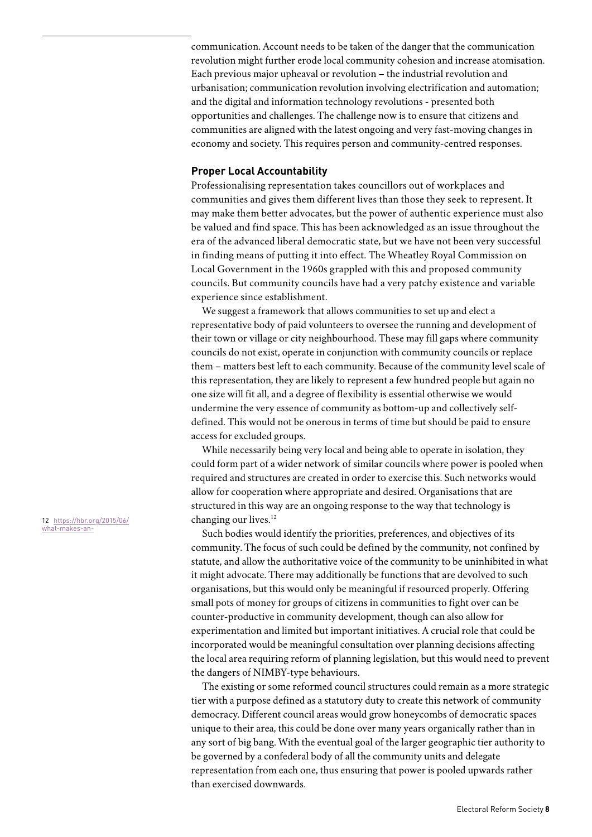communication. Account needs to be taken of the danger that the communication revolution might further erode local community cohesion and increase atomisation. Each previous major upheaval or revolution – the industrial revolution and urbanisation; communication revolution involving electrification and automation; and the digital and information technology revolutions - presented both opportunities and challenges. The challenge now is to ensure that citizens and communities are aligned with the latest ongoing and very fast-moving changes in economy and society. This requires person and community-centred responses.

### **Proper Local Accountability**

Professionalising representation takes councillors out of workplaces and communities and gives them different lives than those they seek to represent. It may make them better advocates, but the power of authentic experience must also be valued and find space. This has been acknowledged as an issue throughout the era of the advanced liberal democratic state, but we have not been very successful in finding means of putting it into effect. The Wheatley Royal Commission on Local Government in the 1960s grappled with this and proposed community councils. But community councils have had a very patchy existence and variable experience since establishment.

We suggest a framework that allows communities to set up and elect a representative body of paid volunteers to oversee the running and development of their town or village or city neighbourhood. These may fill gaps where community councils do not exist, operate in conjunction with community councils or replace them – matters best left to each community. Because of the community level scale of this representation, they are likely to represent a few hundred people but again no one size will fit all, and a degree of flexibility is essential otherwise we would undermine the very essence of community as bottom-up and collectively selfdefined. This would not be onerous in terms of time but should be paid to ensure access for excluded groups.

While necessarily being very local and being able to operate in isolation, they could form part of a wider network of similar councils where power is pooled when required and structures are created in order to exercise this. Such networks would allow for cooperation where appropriate and desired. Organisations that are structured in this way are an ongoing response to the way that technology is changing our lives.<sup>12</sup>

Such bodies would identify the priorities, preferences, and objectives of its community. The focus of such could be defined by the community, not confined by statute, and allow the authoritative voice of the community to be uninhibited in what it might advocate. There may additionally be functions that are devolved to such organisations, but this would only be meaningful if resourced properly. Offering small pots of money for groups of citizens in communities to fight over can be counter-productive in community development, though can also allow for experimentation and limited but important initiatives. A crucial role that could be incorporated would be meaningful consultation over planning decisions affecting the local area requiring reform of planning legislation, but this would need to prevent the dangers of NIMBY-type behaviours.

The existing or some reformed council structures could remain as a more strategic tier with a purpose defined as a statutory duty to create this network of community democracy. Different council areas would grow honeycombs of democratic spaces unique to their area, this could be done over many years organically rather than in any sort of big bang. With the eventual goal of the larger geographic tier authority to be governed by a confederal body of all the community units and delegate representation from each one, thus ensuring that power is pooled upwards rather than exercised downwards.

<span id="page-7-0"></span>12 https://hbr.org/2015/06/ what-makes-an-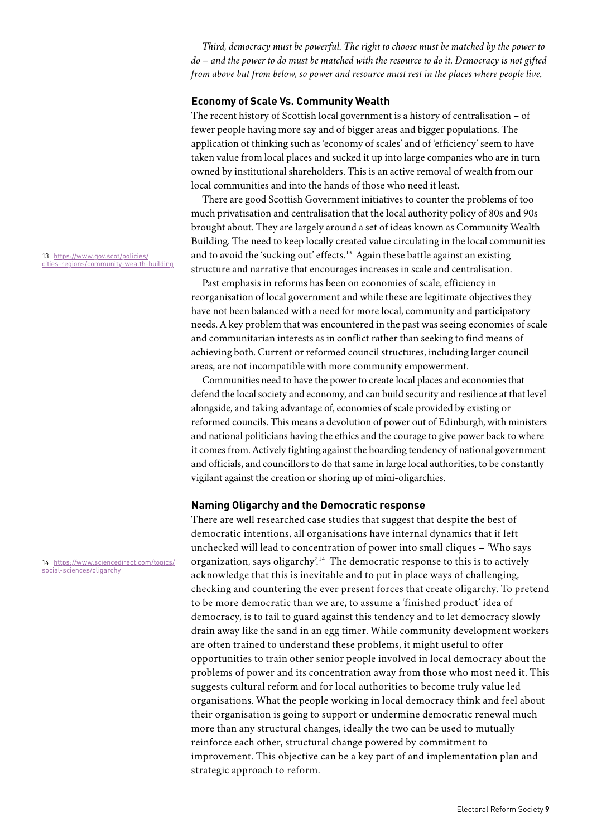*Third, democracy must be powerful. The right to choose must be matched by the power to do – and the power to do must be matched with the resource to do it. Democracy is not gifted from above but from below, so power and resource must rest in the places where people live.* 

#### **Economy of Scale Vs. Community Wealth**

The recent history of Scottish local government is a history of centralisation – of fewer people having more say and of bigger areas and bigger populations. The application of thinking such as 'economy of scales' and of 'efficiency' seem to have taken value from local places and sucked it up into large companies who are in turn owned by institutional shareholders. This is an active removal of wealth from our local communities and into the hands of those who need it least.

There are good Scottish Government initiatives to counter the problems of too much privatisation and centralisation that the local authority policy of 80s and 90s brought about. They are largely around a set of ideas known as Community Wealth Building. The need to keep locally created value circulating in the local communities and to avoid the 'sucking out' effects.<sup>[13](#page-8-0)</sup> Again these battle against an existing structure and narrative that encourages increases in scale and centralisation.

Past emphasis in reforms has been on economies of scale, efficiency in reorganisation of local government and while these are legitimate objectives they have not been balanced with a need for more local, community and participatory needs. A key problem that was encountered in the past was seeing economies of scale and communitarian interests as in conflict rather than seeking to find means of achieving both. Current or reformed council structures, including larger council areas, are not incompatible with more community empowerment.

Communities need to have the power to create local places and economies that defend the local society and economy, and can build security and resilience at that level alongside, and taking advantage of, economies of scale provided by existing or reformed councils. This means a devolution of power out of Edinburgh, with ministers and national politicians having the ethics and the courage to give power back to where it comes from. Actively fighting against the hoarding tendency of national government and officials, and councillors to do that same in large local authorities, to be constantly vigilant against the creation or shoring up of mini-oligarchies.

#### **Naming Oligarchy and the Democratic response**

There are well researched case studies that suggest that despite the best of democratic intentions, all organisations have internal dynamics that if left unchecked will lead to concentration of power into small cliques – 'Who says organization, says oligarchy'[.14](#page-8-1) The democratic response to this is to actively acknowledge that this is inevitable and to put in place ways of challenging, checking and countering the ever present forces that create oligarchy. To pretend to be more democratic than we are, to assume a 'finished product' idea of democracy, is to fail to guard against this tendency and to let democracy slowly drain away like the sand in an egg timer. While community development workers are often trained to understand these problems, it might useful to offer opportunities to train other senior people involved in local democracy about the problems of power and its concentration away from those who most need it. This suggests cultural reform and for local authorities to become truly value led organisations. What the people working in local democracy think and feel about their organisation is going to support or undermine democratic renewal much more than any structural changes, ideally the two can be used to mutually reinforce each other, structural change powered by commitment to improvement. This objective can be a key part of and implementation plan and strategic approach to reform.

<span id="page-8-0"></span>13 [https://www.gov.scot/policies/](https://www.gov.scot/policies/cities-regions/community-wealth-building) [cities-regions/community-wealth-building](https://www.gov.scot/policies/cities-regions/community-wealth-building)

<span id="page-8-1"></span>14 [https://www.sciencedirect.com/topics/](https://www.sciencedirect.com/topics/social-sciences/oligarchy) [social-sciences/oligarchy](https://www.sciencedirect.com/topics/social-sciences/oligarchy)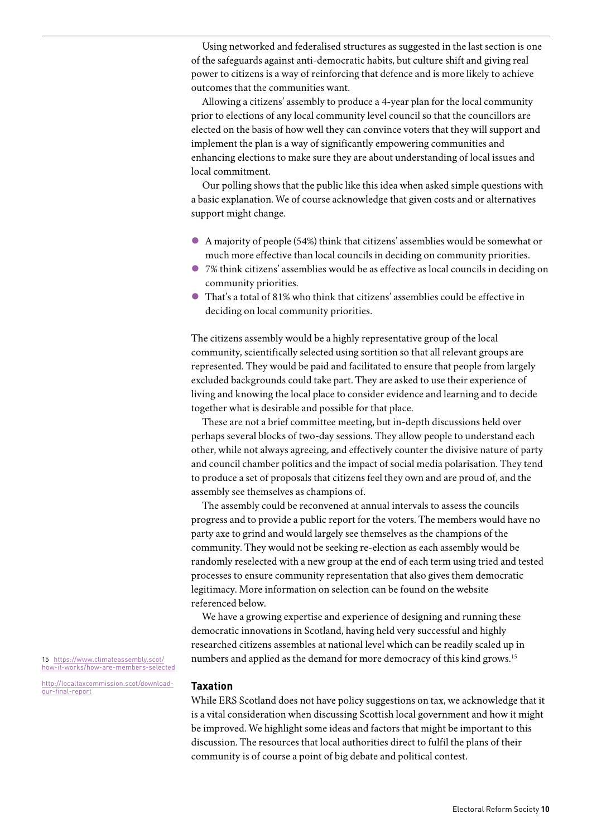Using networked and federalised structures as suggested in the last section is one of the safeguards against anti-democratic habits, but culture shift and giving real power to citizens is a way of reinforcing that defence and is more likely to achieve outcomes that the communities want.

Allowing a citizens' assembly to produce a 4-year plan for the local community prior to elections of any local community level council so that the councillors are elected on the basis of how well they can convince voters that they will support and implement the plan is a way of significantly empowering communities and enhancing elections to make sure they are about understanding of local issues and local commitment.

Our polling shows that the public like this idea when asked simple questions with a basic explanation. We of course acknowledge that given costs and or alternatives support might change.

- l A majority of people (54%) think that citizens' assemblies would be somewhat or much more effective than local councils in deciding on community priorities.
- l 7% think citizens' assemblies would be as effective as local councils in deciding on community priorities.
- l That's a total of 81% who think that citizens' assemblies could be effective in deciding on local community priorities.

The citizens assembly would be a highly representative group of the local community, scientifically selected using sortition so that all relevant groups are represented. They would be paid and facilitated to ensure that people from largely excluded backgrounds could take part. They are asked to use their experience of living and knowing the local place to consider evidence and learning and to decide together what is desirable and possible for that place.

These are not a brief committee meeting, but in-depth discussions held over perhaps several blocks of two-day sessions. They allow people to understand each other, while not always agreeing, and effectively counter the divisive nature of party and council chamber politics and the impact of social media polarisation. They tend to produce a set of proposals that citizens feel they own and are proud of, and the assembly see themselves as champions of.

The assembly could be reconvened at annual intervals to assess the councils progress and to provide a public report for the voters. The members would have no party axe to grind and would largely see themselves as the champions of the community. They would not be seeking re-election as each assembly would be randomly reselected with a new group at the end of each term using tried and tested processes to ensure community representation that also gives them democratic legitimacy. More information on selection can be found on the website referenced below.

We have a growing expertise and experience of designing and running these democratic innovations in Scotland, having held very successful and highly researched citizens assembles at national level which can be readily scaled up in numbers and applied as the demand for more democracy of this kind grows.<sup>15</sup>

#### **Taxation**

While ERS Scotland does not have policy suggestions on tax, we acknowledge that it is a vital consideration when discussing Scottish local government and how it might be improved. We highlight some ideas and factors that might be important to this discussion. The resources that local authorities direct to fulfil the plans of their community is of course a point of big debate and political contest.

<span id="page-9-0"></span>15 [https://www.climateassembly.scot/](https://www.climateassembly.scot/how-it-works/how-are-members-selected) [how-it-works/how-are-members-selected](https://www.climateassembly.scot/how-it-works/how-are-members-selected)

h[ttp://localtaxcommission.scot/download](http://localtaxcommission.scot/download-our-final-report)[our-final-report](http://localtaxcommission.scot/download-our-final-report)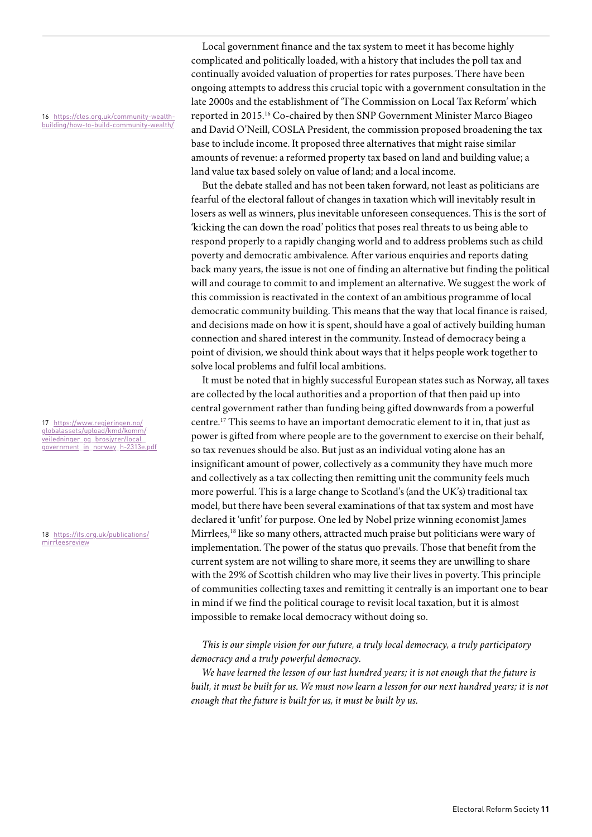<span id="page-10-0"></span>16 [https://cles.org.uk/community-wealth](https://cles.org.uk/community-wealth-building/how-to-build-community-wealth/)[building/how-to-build-community-wealth/](https://cles.org.uk/community-wealth-building/how-to-build-community-wealth/)

<span id="page-10-1"></span>17 [https://www.regjeringen.no/](https://www.regjeringen.no/globalassets/upload/kmd/komm/veiledninger_og_brosjyrer/local_government_in_norway_h-2313e.pdf) [globalassets/upload/kmd/komm/](https://www.regjeringen.no/globalassets/upload/kmd/komm/veiledninger_og_brosjyrer/local_government_in_norway_h-2313e.pdf) veiledninger\_og\_brosjyrer/local [government\\_in\\_norway\\_h-2313e.pdf](https://www.regjeringen.no/globalassets/upload/kmd/komm/veiledninger_og_brosjyrer/local_government_in_norway_h-2313e.pdf)

<span id="page-10-2"></span>18 [https://ifs.org.uk/publications/](https://ifs.org.uk/publications/mirrleesreview) [mirrleesreview](https://ifs.org.uk/publications/mirrleesreview)

Local government finance and the tax system to meet it has become highly complicated and politically loaded, with a history that includes the poll tax and continually avoided valuation of properties for rates purposes. There have been ongoing attempts to address this crucial topic with a government consultation in the late 2000s and the establishment of 'The Commission on Local Tax Reform' which reported in 2015.[16](#page-10-0) Co-chaired by then SNP Government Minister Marco Biageo and David O'Neill, COSLA President, the commission proposed broadening the tax base to include income. It proposed three alternatives that might raise similar amounts of revenue: a reformed property tax based on land and building value; a land value tax based solely on value of land; and a local income.

But the debate stalled and has not been taken forward, not least as politicians are fearful of the electoral fallout of changes in taxation which will inevitably result in losers as well as winners, plus inevitable unforeseen consequences. This is the sort of 'kicking the can down the road' politics that poses real threats to us being able to respond properly to a rapidly changing world and to address problems such as child poverty and democratic ambivalence. After various enquiries and reports dating back many years, the issue is not one of finding an alternative but finding the political will and courage to commit to and implement an alternative. We suggest the work of this commission is reactivated in the context of an ambitious programme of local democratic community building. This means that the way that local finance is raised, and decisions made on how it is spent, should have a goal of actively building human connection and shared interest in the community. Instead of democracy being a point of division, we should think about ways that it helps people work together to solve local problems and fulfil local ambitions.

It must be noted that in highly successful European states such as Norway, all taxes are collected by the local authorities and a proportion of that then paid up into central government rather than funding being gifted downwards from a powerful centre[.17](#page-10-1) This seems to have an important democratic element to it in, that just as power is gifted from where people are to the government to exercise on their behalf, so tax revenues should be also. But just as an individual voting alone has an insignificant amount of power, collectively as a community they have much more and collectively as a tax collecting then remitting unit the community feels much more powerful. This is a large change to Scotland's (and the UK's) traditional tax model, but there have been several examinations of that tax system and most have declared it 'unfit' for purpose. One led by Nobel prize winning economist James Mirrlees,<sup>18</sup> like so many others, attracted much praise but politicians were wary of implementation. The power of the status quo prevails. Those that benefit from the current system are not willing to share more, it seems they are unwilling to share with the 29% of Scottish children who may live their lives in poverty. This principle of communities collecting taxes and remitting it centrally is an important one to bear in mind if we find the political courage to revisit local taxation, but it is almost impossible to remake local democracy without doing so.

## *This is our simple vision for our future, a truly local democracy, a truly participatory democracy and a truly powerful democracy.*

*We have learned the lesson of our last hundred years; it is not enough that the future is built, it must be built for us. We must now learn a lesson for our next hundred years; it is not enough that the future is built for us, it must be built by us.*